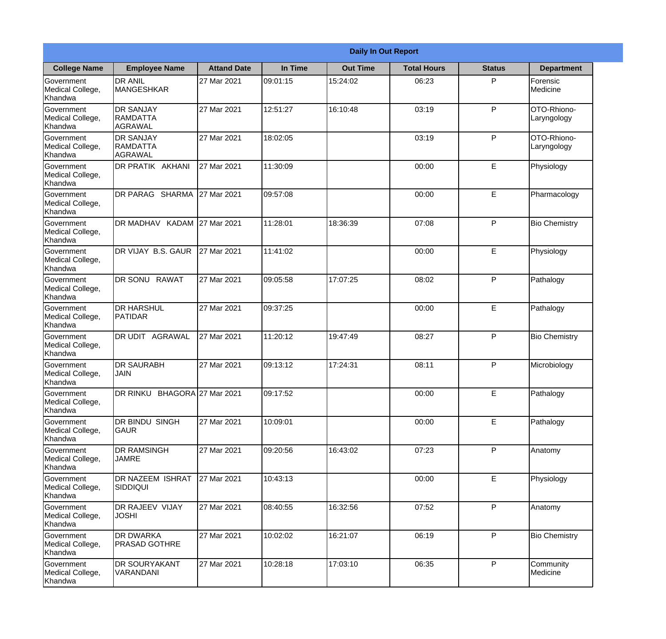|                                                  |                                                | <b>Daily In Out Report</b> |          |                 |                    |               |                            |  |  |
|--------------------------------------------------|------------------------------------------------|----------------------------|----------|-----------------|--------------------|---------------|----------------------------|--|--|
| <b>College Name</b>                              | <b>Employee Name</b>                           | <b>Attand Date</b>         | In Time  | <b>Out Time</b> | <b>Total Hours</b> | <b>Status</b> | <b>Department</b>          |  |  |
| Government<br>Medical College,<br>Khandwa        | <b>DR ANIL</b><br><b>MANGESHKAR</b>            | 27 Mar 2021                | 09:01:15 | 15:24:02        | 06:23              | P             | Forensic<br>Medicine       |  |  |
| Government<br>Medical College,<br>Khandwa        | <b>DR SANJAY</b><br><b>RAMDATTA</b><br>AGRAWAL | 27 Mar 2021                | 12:51:27 | 16:10:48        | 03:19              | P             | OTO-Rhiono-<br>Laryngology |  |  |
| Government<br>Medical College,<br>Khandwa        | <b>DR SANJAY</b><br>RAMDATTA<br>AGRAWAL        | 27 Mar 2021                | 18:02:05 |                 | 03:19              | P             | OTO-Rhiono-<br>Laryngology |  |  |
| <b>Government</b><br>Medical College,<br>Khandwa | <b>DR PRATIK AKHANI</b>                        | 27 Mar 2021                | 11:30:09 |                 | 00:00              | E             | Physiology                 |  |  |
| Government<br>Medical College,<br>Khandwa        | DR PARAG SHARMA                                | 27 Mar 2021                | 09:57:08 |                 | 00:00              | E             | Pharmacology               |  |  |
| Government<br>Medical College,<br>Khandwa        | DR MADHAV KADAM 27 Mar 2021                    |                            | 11:28:01 | 18:36:39        | 07:08              | P             | <b>Bio Chemistry</b>       |  |  |
| Government<br>Medical College,<br>Khandwa        | DR VIJAY B.S. GAUR                             | 27 Mar 2021                | 11:41:02 |                 | 00:00              | E             | Physiology                 |  |  |
| <b>Government</b><br>Medical College,<br>Khandwa | <b>DR SONU RAWAT</b>                           | 27 Mar 2021                | 09:05:58 | 17:07:25        | 08:02              | P             | Pathalogy                  |  |  |
| Government<br>Medical College,<br>Khandwa        | <b>DR HARSHUL</b><br><b>PATIDAR</b>            | 27 Mar 2021                | 09:37:25 |                 | 00:00              | E             | Pathalogy                  |  |  |
| Government<br>Medical College,<br>Khandwa        | DR UDIT<br><b>AGRAWAL</b>                      | 27 Mar 2021                | 11:20:12 | 19:47:49        | 08:27              | P             | <b>Bio Chemistry</b>       |  |  |
| Government<br>Medical College,<br>Khandwa        | <b>DR SAURABH</b><br><b>JAIN</b>               | 27 Mar 2021                | 09:13:12 | 17:24:31        | 08:11              | P             | Microbiology               |  |  |
| Government<br>Medical College,<br>Khandwa        | DR RINKU BHAGORA 27 Mar 2021                   |                            | 09:17:52 |                 | 00:00              | E             | Pathalogy                  |  |  |
| Government<br>Medical College,<br>Khandwa        | DR BINDU SINGH<br> GAUR                        | 27 Mar 2021                | 10:09:01 |                 | 00:00              | E             | Pathalogy                  |  |  |
| Government<br>Medical College,<br>Khandwa        | <b>DR RAMSINGH</b><br><b>JAMRE</b>             | 27 Mar 2021                | 09:20:56 | 16:43:02        | 07:23              | P             | Anatomy                    |  |  |
| Government<br>Medical College,<br>Khandwa        | <b>DR NAZEEM ISHRAT</b><br><b>SIDDIQUI</b>     | 27 Mar 2021                | 10:43:13 |                 | 00:00              | E             | Physiology                 |  |  |
| Government<br>Medical College,<br>Khandwa        | <b>DR RAJEEV VIJAY</b><br><b>JOSHI</b>         | 27 Mar 2021                | 08:40:55 | 16:32:56        | 07:52              | P             | Anatomy                    |  |  |
| Government<br>Medical College,<br>Khandwa        | <b>DR DWARKA</b><br><b>PRASAD GOTHRE</b>       | 27 Mar 2021                | 10:02:02 | 16:21:07        | 06:19              | P             | <b>Bio Chemistry</b>       |  |  |
| Government<br>Medical College,<br>Khandwa        | <b>DR SOURYAKANT</b><br>VARANDANI              | 27 Mar 2021                | 10:28:18 | 17:03:10        | 06:35              | P             | Community<br>Medicine      |  |  |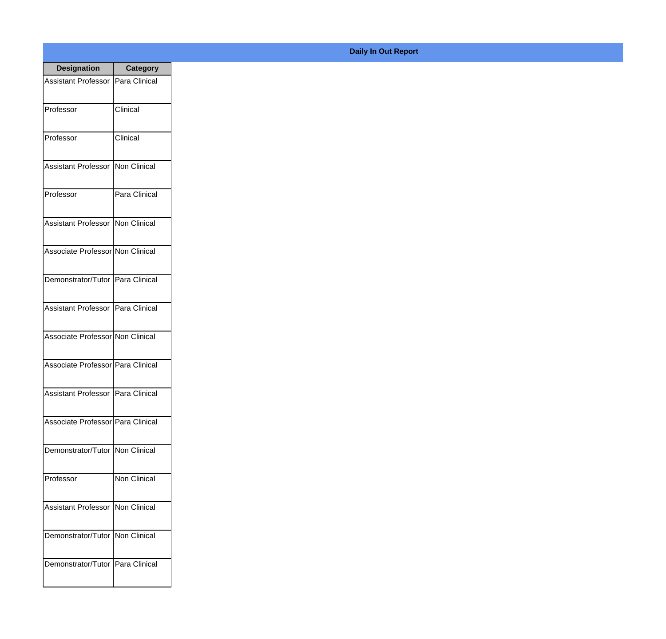| <b>Designation</b>                  | <b>Category</b> |
|-------------------------------------|-----------------|
| <b>Assistant Professor</b>          | Para Clinical   |
| Professor                           | Clinical        |
| Professor                           | Clinical        |
| Assistant Professor                 | Non Clinical    |
| Professor                           | Para Clinical   |
| Assistant Professor   Non Clinical  |                 |
| Associate Professor Non Clinical    |                 |
| Demonstrator/Tutor   Para Clinical  |                 |
| Assistant Professor   Para Clinical |                 |
| Associate Professor Non Clinical    |                 |
| Associate Professor Para Clinical   |                 |
| Assistant Professor   Para Clinical |                 |
| Associate Professor   Para Clinical |                 |
| Demonstrator/Tutor   Non Clinical   |                 |
| Professor                           | Non Clinical    |
| <b>Assistant Professor</b>          | Non Clinical    |
| Demonstrator/Tutor                  | Non Clinical    |
| Demonstrator/Tutor   Para Clinical  |                 |

## **Daily In Out Report**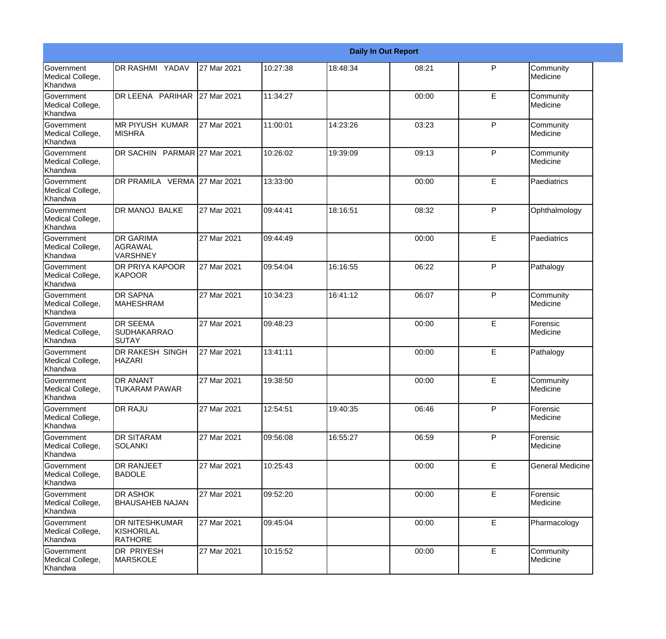|                                                  |                                                       |             |           |          | <b>Daily In Out Report</b> |              |                         |
|--------------------------------------------------|-------------------------------------------------------|-------------|-----------|----------|----------------------------|--------------|-------------------------|
| <b>Government</b><br>Medical College,<br>Khandwa | DR RASHMI YADAV                                       | 27 Mar 2021 | 10:27:38  | 18:48:34 | 08:21                      | P            | Community<br>Medicine   |
| <b>Government</b><br>Medical College,<br>Khandwa | DR LEENA PARIHAR                                      | 27 Mar 2021 | 11:34:27  |          | 00:00                      | E            | Community<br>Medicine   |
| <b>Government</b><br>Medical College,<br>Khandwa | <b>MR PIYUSH KUMAR</b><br><b>MISHRA</b>               | 27 Mar 2021 | 11:00:01  | 14:23:26 | 03:23                      | P            | Community<br>Medicine   |
| <b>Government</b><br>Medical College,<br>Khandwa | DR SACHIN PARMAR 27 Mar 2021                          |             | 10:26:02  | 19:39:09 | 09:13                      | P            | Community<br>Medicine   |
| <b>Government</b><br>Medical College,<br>Khandwa | DR PRAMILA VERMA 27 Mar 2021                          |             | 13:33:00  |          | 00:00                      | E            | Paediatrics             |
| <b>Government</b><br>Medical College,<br>Khandwa | <b>DR MANOJ BALKE</b>                                 | 27 Mar 2021 | 09:44:41  | 18:16:51 | 08:32                      | $\mathsf{P}$ | Ophthalmology           |
| Government<br>Medical College,<br>Khandwa        | <b>DR GARIMA</b><br><b>AGRAWAL</b><br><b>VARSHNEY</b> | 27 Mar 2021 | 109:44:49 |          | 00:00                      | E            | Paediatrics             |
| Government<br>Medical College,<br>Khandwa        | <b>DR PRIYA KAPOOR</b><br><b>KAPOOR</b>               | 27 Mar 2021 | 09:54:04  | 16:16:55 | 06:22                      | P            | Pathalogy               |
| Government<br>Medical College,<br>Khandwa        | <b>DR SAPNA</b><br><b>MAHESHRAM</b>                   | 27 Mar 2021 | 10:34:23  | 16:41:12 | 06:07                      | $\mathsf{P}$ | Community<br>Medicine   |
| <b>Government</b><br>Medical College,<br>Khandwa | <b>DR SEEMA</b><br><b>SUDHAKARRAO</b><br>SUTAY        | 27 Mar 2021 | 09:48:23  |          | 00:00                      | E            | Forensic<br>Medicine    |
| <b>Government</b><br>Medical College,<br>Khandwa | <b>DR RAKESH SINGH</b><br><b>HAZARI</b>               | 27 Mar 2021 | 13:41:11  |          | 00:00                      | E            | Pathalogy               |
| Government<br>Medical College,<br>Khandwa        | <b>DR ANANT</b><br><b>TUKARAM PAWAR</b>               | 27 Mar 2021 | 19:38:50  |          | 00:00                      | E            | Community<br>Medicine   |
| <b>Government</b><br>Medical College,<br>Khandwa | <b>DR RAJU</b>                                        | 27 Mar 2021 | 12:54:51  | 19:40:35 | 06:46                      | $\mathsf{P}$ | Forensic<br>Medicine    |
| Government<br>Medical College,<br>Khandwa        | <b>DR SITARAM</b><br><b>SOLANKI</b>                   | 27 Mar 2021 | 09:56:08  | 16:55:27 | 06:59                      | $\mathsf{P}$ | Forensic<br>Medicine    |
| Government<br>Medical College,<br>Khandwa        | <b>DR RANJEET</b><br><b>BADOLE</b>                    | 27 Mar 2021 | 10:25:43  |          | 00:00                      | E            | <b>General Medicine</b> |
| Government<br>Medical College,<br>Khandwa        | <b>DR ASHOK</b><br><b>BHAUSAHEB NAJAN</b>             | 27 Mar 2021 | 09:52:20  |          | 00:00                      | E            | Forensic<br>Medicine    |
| Government<br>Medical College,<br>Khandwa        | <b>DR NITESHKUMAR</b><br>KISHORILAL<br><b>RATHORE</b> | 27 Mar 2021 | 09:45:04  |          | 00:00                      | E            | Pharmacology            |
| Government<br>Medical College,<br>Khandwa        | DR PRIYESH<br><b>MARSKOLE</b>                         | 27 Mar 2021 | 10:15:52  |          | 00:00                      | E            | Community<br>Medicine   |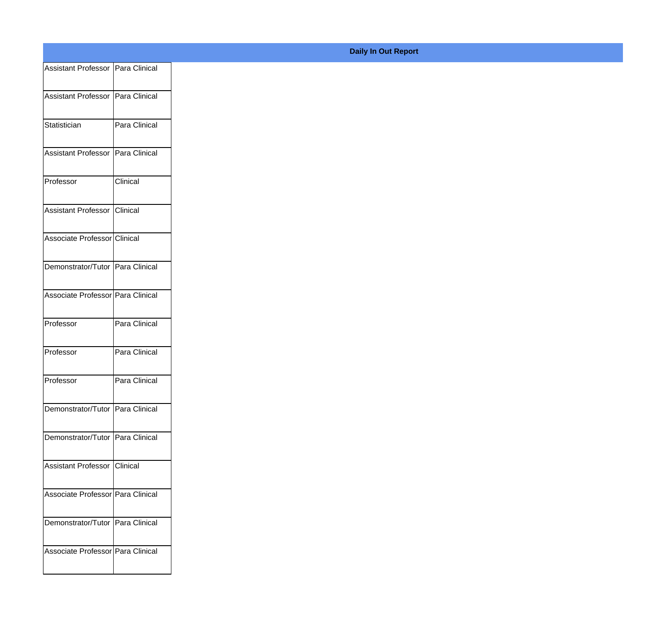| Assistant Professor   Para Clinical |                 |
|-------------------------------------|-----------------|
| Assistant Professor Para Clinical   |                 |
|                                     |                 |
| Statistician                        | Para Clinical   |
| Assistant Professor   Para Clinical |                 |
| Professor                           | <b>Clinical</b> |
| Assistant Professor Clinical        |                 |
| Associate Professor Clinical        |                 |
| Demonstrator/Tutor Para Clinical    |                 |
|                                     |                 |
| Associate Professor Para Clinical   |                 |
| Professor                           | Para Clinical   |
| Professor                           | Para Clinical   |
| Professor                           | Para Clinical   |
| Demonstrator/Tutor Para Clinical    |                 |
| Demonstrator/Tutor   Para Clinical  |                 |
| Assistant Professor Clinical        |                 |
|                                     |                 |
| Associate Professor Para Clinical   |                 |
| Demonstrator/Tutor Para Clinical    |                 |
| Associate Professor Para Clinical   |                 |
|                                     |                 |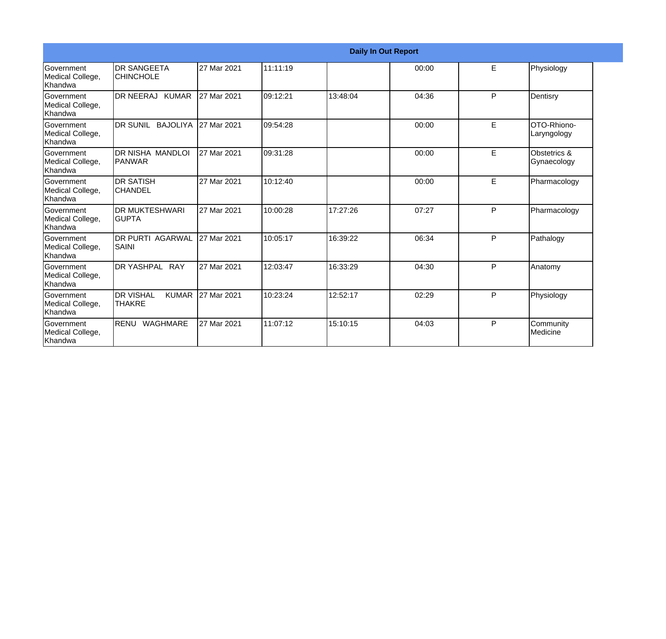|                                                         |                                                     |             |          |          | <b>Daily In Out Report</b> |   |                             |
|---------------------------------------------------------|-----------------------------------------------------|-------------|----------|----------|----------------------------|---|-----------------------------|
| Government<br>Medical College,<br>lKhandwa              | <b>I</b> DR SANGEETA<br><b>CHINCHOLE</b>            | 27 Mar 2021 | 11:11:19 |          | 00:00                      | E | Physiology                  |
| <b>Government</b><br>Medical College,<br>Khandwa        | DR NEERAJ KUMAR                                     | 27 Mar 2021 | 09:12:21 | 13:48:04 | 04:36                      | P | Dentisry                    |
| <b>Government</b><br>Medical College,<br><b>Khandwa</b> | DR SUNIL BAJOLIYA                                   | 27 Mar 2021 | 09:54:28 |          | 00:00                      | E | OTO-Rhiono-<br>Laryngology  |
| <b>Government</b><br>Medical College,<br>Khandwa        | DR NISHA MANDLOI<br><b>PANWAR</b>                   | 27 Mar 2021 | 09:31:28 |          | 00:00                      | E | Obstetrics &<br>Gynaecology |
| Government<br>Medical College,<br>Khandwa               | <b>DR SATISH</b><br><b>CHANDEL</b>                  | 27 Mar 2021 | 10:12:40 |          | 00:00                      | E | Pharmacology                |
| Government<br>Medical College,<br>Khandwa               | IDR MUKTESHWARI<br>IGUPTA                           | 27 Mar 2021 | 10:00:28 | 17:27:26 | 07:27                      | P | Pharmacology                |
| Government<br>Medical College,<br>Khandwa               | <b>IDR PURTI AGARWAL</b><br><b>SAINI</b>            | 27 Mar 2021 | 10:05:17 | 16:39:22 | 06:34                      | P | Pathalogy                   |
| <b>Government</b><br>Medical College,<br>Khandwa        | DR YASHPAL RAY                                      | 27 Mar 2021 | 12:03:47 | 16:33:29 | 04:30                      | P | Anatomy                     |
| Government<br>Medical College,<br><b>Khandwa</b>        | <b>I</b> DR VISHAL<br><b>KUMAR</b><br><b>THAKRE</b> | 27 Mar 2021 | 10:23:24 | 12:52:17 | 02:29                      | P | Physiology                  |
| <b>Government</b><br>Medical College,<br>Khandwa        | RENU WAGHMARE                                       | 27 Mar 2021 | 11:07:12 | 15:10:15 | 04:03                      | P | Community<br>Medicine       |